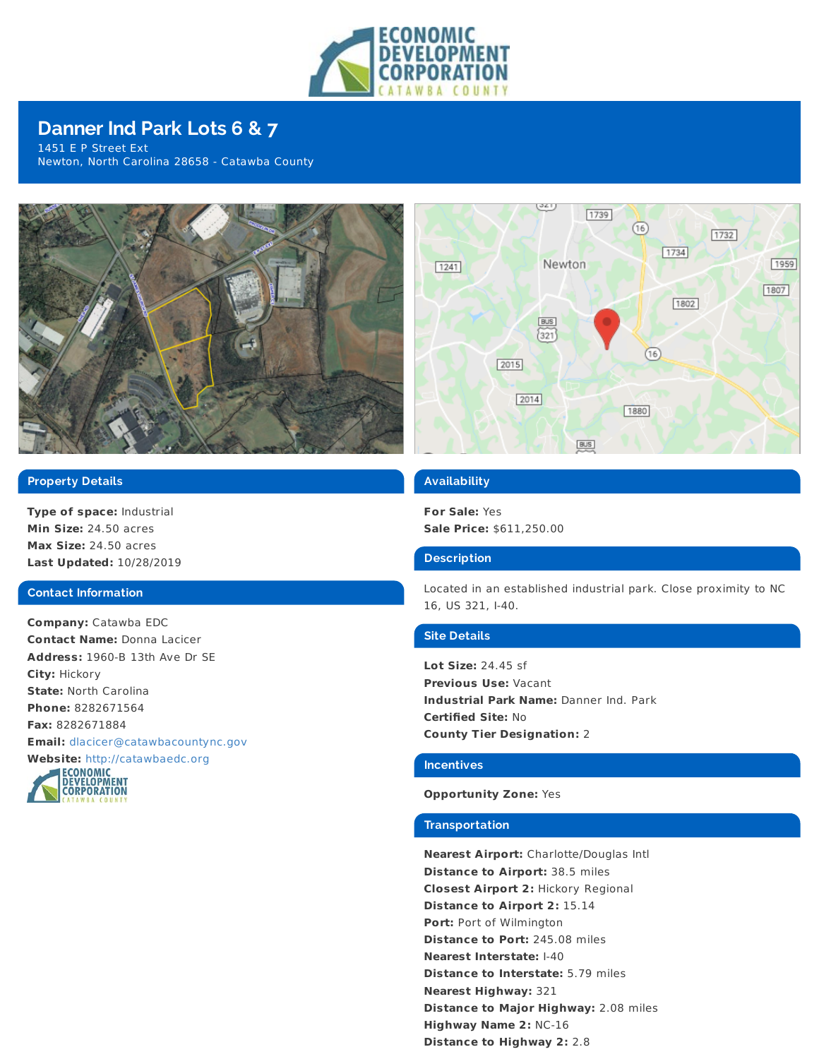

# **Danner Ind Park Lots 6 & 7**

1451 E P Street Ext Newton, North Carolina 28658 - Catawba County



### راعتي 1739  $(16)$  $1732$  $1734$ 1959 Newton  $1241$  $1807$ 1802 **BUS**  $(321)$  $(16)$ 2015  $\boxed{2014}$ 1880 **BUS**

## **Property Details**

**Type of space:** Industrial **Min Size:** 24.50 acres **Max Size:** 24.50 acres **Last Updated:** 10/28/2019

#### **Contact Information**

**Company:** Catawba EDC **Contact Name:** Donna Lacicer **Address:** 1960-B 13th Ave Dr SE **City:** Hickory **State:** North Carolina **Phone:** 8282671564 **Fax:** 8282671884 **Email:** [dlacicer@catawbacountync.gov](mailto:dlacicer@catawbacountync.gov)



#### **Availability**

**For Sale:** Yes **Sale Price:** \$611,250.00

#### **Description**

Located in an established industrial park. Close proximity to NC 16, US 321, I-40.

#### **Site Details**

**Lot Size:** 24.45 sf **Previous Use:** Vacant **Industrial Park Name:** Danner Ind. Park **Certified Site:** No **County Tier Designation:** 2

## **Incentives**

#### **Opportunity Zone:** Yes

#### **Transportation**

**Nearest Airport:** Charlotte/Douglas Intl **Distance to Airport:** 38.5 miles **Closest Airport 2:** Hickory Regional **Distance to Airport 2:** 15.14 **Port:** Port of Wilmington **Distance to Port:** 245.08 miles **Nearest Interstate:** I-40 **Distance to Interstate:** 5.79 miles **Nearest Highway:** 321 **Distance to Major Highway:** 2.08 miles **Highway Name 2:** NC-16 **Distance to Highway 2:** 2.8